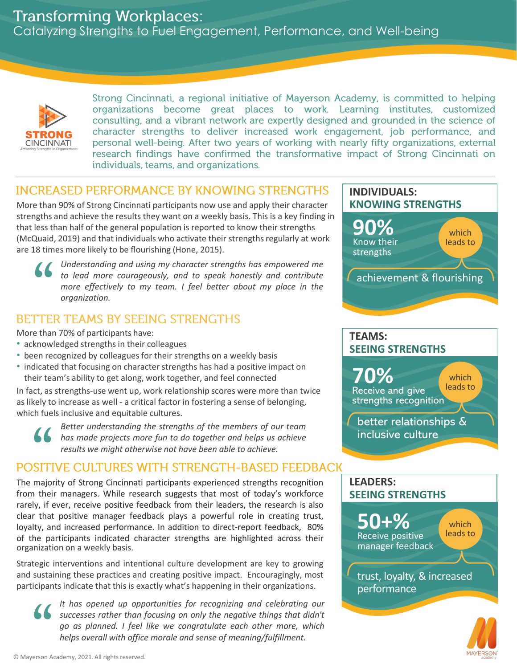# **Transforming Workplaces:**

Catalyzing Strengths to Fuel Engagement, Performance, and Well-being



Strong Cincinnati, a regional initiative of Mayerson Academy, is committed to helping organizations become great places to work. Learning institutes, customized consulting, and a vibrant network are expertly designed and grounded in the science of character strengths to deliver increased work engagement, job performance, and personal well-being. After two years of working with nearly fifty organizations, external research findings have confirmed the transformative impact of Strong Cincinnati on individuals, teams, and organizations.

# **INCREASED PERFORMANCE BY KNOWING STRENGTHS**

More than 90% of Strong Cincinnati participants now use and apply their character strengths and achieve the results they want on a weekly basis. This is a key finding in that less than half of the general population is reported to know their strengths (McQuaid, 2019) and that individuals who activate their strengths regularly at work are 18 times more likely to be flourishing (Hone, 2015). less ti<br>Quaid,<br>18 tim<br>TTEI



*Understanding and using my character strengths has empowered me to lead more courageously, and to speak honestly and contribute more effectively to my team. I feel better about my place in the organization.*

More than 70% of participants have:

- acknowledged strengths in their colleagues
- been recognized by colleagues for their strengths on a weekly basis
- indicated that focusing on character strengths has had a positive impact on their team's ability to get along, work together, and feel connected

In fact, as strengths-use went up, work relationship scores were more than twice as likely to increase as well - a critical factor in fostering a sense of belonging, which fuels inclusive and equitable cultures.



*Better understanding the strengths of the members of our team has made projects more fun to do together and helps us achieve results* the projects were interested by to increase as well - a critical factor in fostering a sense of belch fuels inclusive and equitable cultures.<br> **A** *Better understanding the strengths of the members of our has mad* 

The majority of Strong Cincinnati participants experienced strengths recognition **LEADERS:** from their managers. While research suggests that most of today's workforce rarely, if ever, receive positive feedback from their leaders, the research is also clear that positive manager feedback plays a powerful role in creating trust, loyalty, and increased performance. In addition to direct-report feedback, 80% of the participants indicated character strengths are highlighted across their organization on a weekly basis.

Strategic interventions and intentional culture development are key to growing and sustaining these practices and creating positive impact. Encouragingly, most participants indicate that this is exactly what's happening in their organizations.

sustai<br>icipan<br>( *It has opened up opportunities for recognizing and celebrating our successes rather than focusing on only the negative things that didn't go as planned. I feel like we congratulate each other more, which helps overall with office morale and sense of meaning/fulfillment.*

#### **90%**  Know their strengths which leads to **KNOWING STRENGTHS**

**INDIVIDUALS:**

achievement & flourishing

# **SEEING STRENGTHS TEAMS:**

**70%**  Receive and give strengths recognition better relationships & inclusive culture which leads to



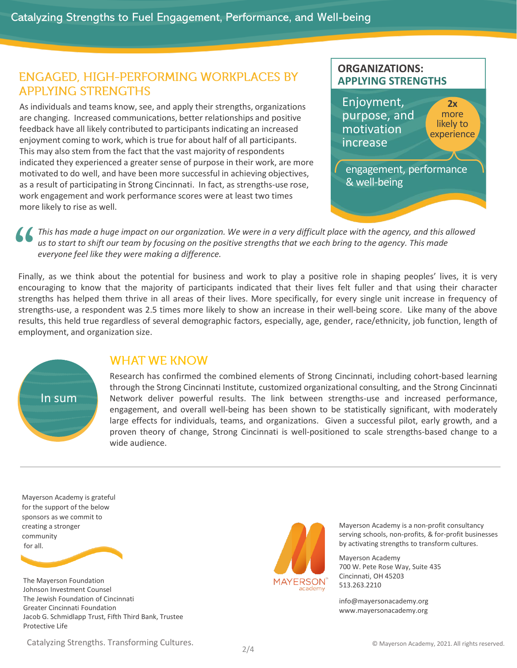### **ENGAGED, HIGH-PERFORMING WORKPLACES BY APPLYING STRENGTHS**

As individuals and teams know, see, and apply their strengths, organizations are changing. Increased communications, better relationships and positive feedback have all likely contributed to participants indicating an increased enjoyment coming to work, which is true for about half of all participants. This may also stem from the fact that the vast majority of respondents indicated they experienced a greater sense of purpose in their work, are more motivated to do well, and have been more successful in achieving objectives, as a result of participating in Strong Cincinnati. In fact, as strengths-use rose, work engagement and work performance scores were at least two times more likely to rise as well.





*This has made a huge impact on our organization. We were in a very difficult place with the agency, and this allowed us to start to shift our team by focusing on the positive strengths that we each bring to the agency. This made*  worl<br>
more<br> **66**<br>
Final *everyone feel like they were making a difference.*

Finally, as we think about the potential for business and work to play a positive role in shaping peoples' lives, it is very encouraging to know that the majority of participants indicated that their lives felt fuller and that using their character strengths has helped them thrive in all areas of their lives. More specifically, for every single unit increase in frequency of strengths-use, a respondent was 2.5 times more likely to show an increase in their well-being score. Like many of the above results, this held true regardless of several demographic factors, especially, age, gender, race/ethnicity, job function, length of employment, and organization size.



#### **WHAT WE KNOW**

Research has confirmed the combined elements of Strong Cincinnati, including cohort-based learning through the Strong Cincinnati Institute, customized organizational consulting, and the Strong Cincinnati Network deliver powerful results. The link between strengths-use and increased performance, engagement, and overall well-being has been shown to be statistically significant, with moderately large effects for individuals, teams, and organizations. Given a successful pilot, early growth, and a proven theory of change, Strong Cincinnati is well-positioned to scale strengths-based change to a wide audience.

Mayerson Academy is grateful for the support of the below sponsors as we commit to creating a stronger community for all.

The Mayerson Foundation Johnson Investment Counsel The Jewish Foundation of Cincinnati Greater Cincinnati Foundation Jacob G. Schmidlapp Trust, Fifth Third Bank, Trustee Protective Life

Catalyzing Strengths. Transforming Cultures. **Example 2012** 11 and 2021. Catalyzing Strengths. Transforming Cultures.



Mayerson Academy is a non-profit consultancy serving schools, non-profits, & for-profit businesses by activating strengths to transform cultures.

Mayerson Academy 700 W. Pete Rose Way, Suite 435 Cincinnati, OH 45203 513.263.2210

info@mayersonacademy.org www.mayersonacademy.org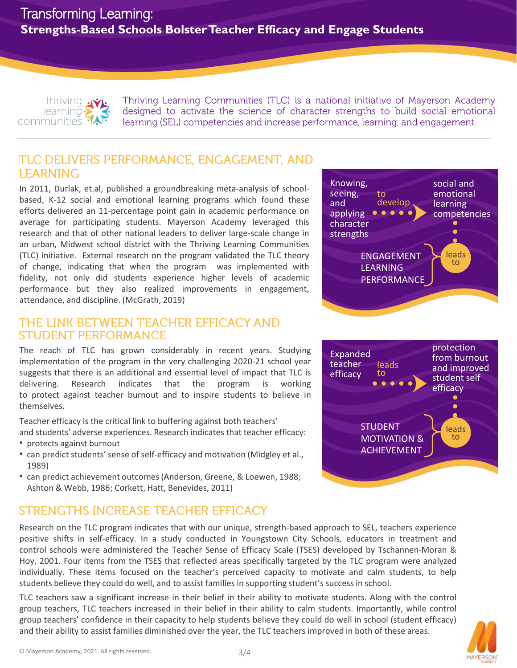

Thriving Learning Communities (TLC) is a national initiative of Mayerson Academy designed to activate the science of character strengths to build social emotional learning (SEL) competencies and increase performance, learning, and engagement.

## TLC DELIVERS PERFORMANCE, ENGAGEMENT, AND **LEARNING**

In 2011, Durlak, et.al, published a groundbreaking meta-analysis of schoolbased, K-12 social and emotional learning programs which found these efforts delivered an 11-percentage point gain in academic performance on average for participating students. Mayerson Academy leveraged this research and that of other national leaders to deliver large-scale change in an urban, Midwest school district with the Thriving Learning Communities (TLC) initiative. External research on the program validated the TLC theory of change, indicating that when the program was implemented with fidelity, not only did students experience higher levels of academic performance but they also realized improvements in engagement, attendance, and discipline. (McGrath, 2019)

### THE LINK BETWEEN TEACHER EFFICACY AND **STUDENT PERFORMANCE**

The reach of TLC has grown considerably in recent years. Studying implementation of the program in the very challenging 2020-21 school year suggests that there is an additional and essential level of impact that TLC is delivering. Research indicates that the program is working to protect against teacher burnout and to inspire students to believe in themselves.

Teacher efficacy is the critical link to buffering against both teachers'

and students' adverse experiences. Research indicates that teacher efficacy: • protects against burnout

- can predict students' sense of self-efficacy and motivation (Midgley et al., 1989)
- can predict achievement outcomes (Anderson, Greene, & Loewen, 1988; Ashton & Webb, 1986; Corkett, Hatt, Benevides, 2011)

# STRENGTHS INCREASE TEACHER EFFICACY

Research on the TLC program indicates that with our unique, strength-based approach to SEL, teachers experience positive shifts in self-efficacy. In a study conducted in Youngstown City Schools, educators in treatment and control schools were administered the Teacher Sense of Efficacy Scale (TSES) developed by Tschannen-Moran & Hoy, 2001. Four items from the TSES that reflected areas specifically targeted by the TLC program were analyzed individually. These items focused on the teacher's perceived capacity to motivate and calm students, to help students believe they could do well, and to assist families in supporting student's success in school.

TLC teachers saw a significant increase in their belief in their ability to motivate students. Along with the control group teachers, TLC teachers increased in their belief in their ability to calm students. Importantly, while control group teachers' confidence in their capacity to help students believe they could do well in school (student efficacy) and their ability to assist families diminished over the year, the TLC teachers improved in both of these areas.